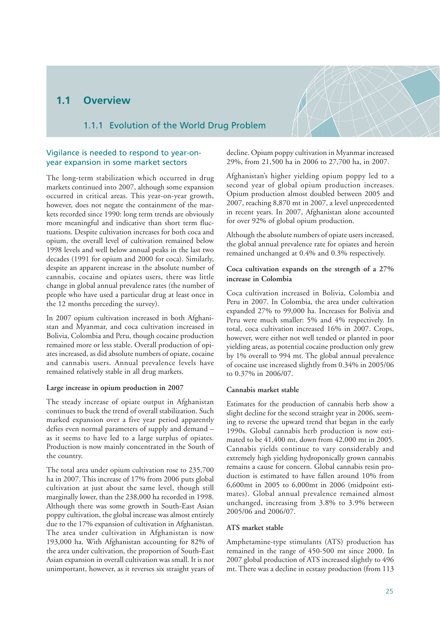# **1.1 Overview**

# 1.1.1 Evolution of the World Drug Problem

# Vigilance is needed to respond to year-onyear expansion in some market sectors

The long-term stabilization which occurred in drug markets continued into 2007, although some expansion occurred in critical areas. This year-on-year growth, however, does not negate the containment of the markets recorded since 1990: long term trends are obviously more meaningful and indicative than short term fluctuations. Despite cultivation increases for both coca and opium, the overall level of cultivation remained below 1998 levels and well below annual peaks in the last two decades (1991 for opium and 2000 for coca). Similarly, despite an apparent increase in the absolute number of cannabis, cocaine and opiates users, there was little change in global annual prevalence rates (the number of people who have used a particular drug at least once in the 12 months preceding the survey).

In 2007 opium cultivation increased in both Afghanistan and Myanmar, and coca cultivation increased in Bolivia, Colombia and Peru, though cocaine production remained more or less stable. Overall production of opiates increased, as did absolute numbers of opiate, cocaine and cannabis users. Annual prevalence levels have remained relatively stable in all drug markets.

# **Large increase in opium production in 2007**

The steady increase of opiate output in Afghanistan continues to buck the trend of overall stabilization. Such marked expansion over a five year period apparently defies even normal parameters of supply and demand – as it seems to have led to a large surplus of opiates. Production is now mainly concentrated in the South of the country.

The total area under opium cultivation rose to 235,700 ha in 2007. This increase of 17% from 2006 puts global cultivation at just about the same level, though still marginally lower, than the 238,000 ha recorded in 1998. Although there was some growth in South-East Asian poppy cultivation, the global increase was almost entirely due to the 17% expansion of cultivation in Afghanistan. The area under cultivation in Afghanistan is now 193,000 ha. With Afghanistan accounting for 82% of the area under cultivation, the proportion of South-East Asian expansion in overall cultivation was small. It is not unimportant, however, as it reverses six straight years of decline. Opium poppy cultivation in Myanmar increased 29%, from 21,500 ha in 2006 to 27,700 ha, in 2007.

Afghanistan's higher yielding opium poppy led to a second year of global opium production increases. Opium production almost doubled between 2005 and 2007, reaching 8,870 mt in 2007, a level unprecedented in recent years. In 2007, Afghanistan alone accounted for over 92% of global opium production.

Although the absolute numbers of opiate users increased, the global annual prevalence rate for opiates and heroin remained unchanged at 0.4% and 0.3% respectively.

# **Coca cultivation expands on the strength of a 27% increase in Colombia**

Coca cultivation increased in Bolivia, Colombia and Peru in 2007. In Colombia, the area under cultivation expanded 27% to 99,000 ha. Increases for Bolivia and Peru were much smaller: 5% and 4% respectively. In total, coca cultivation increased 16% in 2007. Crops, however, were either not well tended or planted in poor yielding areas, as potential cocaine production only grew by 1% overall to 994 mt. The global annual prevalence of cocaine use increased slightly from 0.34% in 2005/06 to 0.37% in 2006/07.

# **Cannabis market stable**

Estimates for the production of cannabis herb show a slight decline for the second straight year in 2006, seeming to reverse the upward trend that began in the early 1990s. Global cannabis herb production is now estimated to be 41,400 mt, down from 42,000 mt in 2005. Cannabis yields continue to vary considerably and extremely high yielding hydroponically grown cannabis remains a cause for concern. Global cannabis resin production is estimated to have fallen around 10% from 6,600mt in 2005 to 6,000mt in 2006 (midpoint estimates). Global annual prevalence remained almost unchanged, increasing from 3.8% to 3.9% between 2005/06 and 2006/07.

# **ATS market stable**

Amphetamine-type stimulants (ATS) production has remained in the range of 450-500 mt since 2000. In 2007 global production of ATS increased slightly to 496 mt. There was a decline in ecstasy production (from 113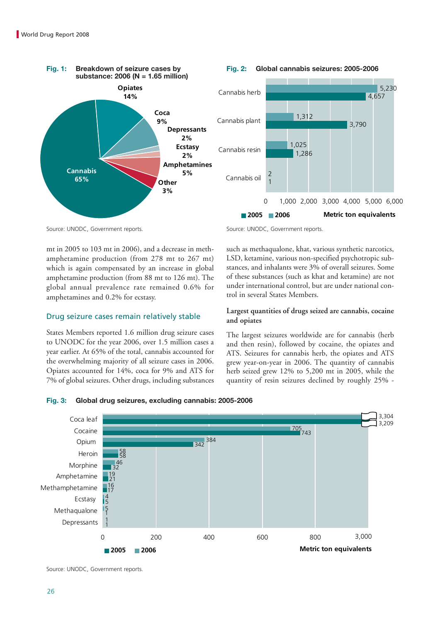

#### **Fig. 2: Global cannabis seizures: 2005-2006**



Source: UNODC, Government reports.

mt in 2005 to 103 mt in 2006), and a decrease in methamphetamine production (from 278 mt to 267 mt) which is again compensated by an increase in global amphetamine production (from 88 mt to 126 mt). The global annual prevalence rate remained 0.6% for amphetamines and 0.2% for ecstasy.

# Drug seizure cases remain relatively stable

States Members reported 1.6 million drug seizure cases to UNODC for the year 2006, over 1.5 million cases a year earlier. At 65% of the total, cannabis accounted for the overwhelming majority of all seizure cases in 2006. Opiates accounted for 14%, coca for 9% and ATS for 7% of global seizures. Other drugs, including substances



such as methaqualone, khat, various synthetic narcotics, LSD, ketamine, various non-specified psychotropic substances, and inhalants were 3% of overall seizures. Some of these substances (such as khat and ketamine) are not under international control, but are under national control in several States Members.

# **Largest quantities of drugs seized are cannabis, cocaine and opiates**

The largest seizures worldwide are for cannabis (herb and then resin), followed by cocaine, the opiates and ATS. Seizures for cannabis herb, the opiates and ATS grew year-on-year in 2006. The quantity of cannabis herb seized grew 12% to 5,200 mt in 2005, while the quantity of resin seizures declined by roughly 25% -



**Fig. 3: Global drug seizures, excluding cannabis: 2005-2006**

Source: UNODC, Government reports.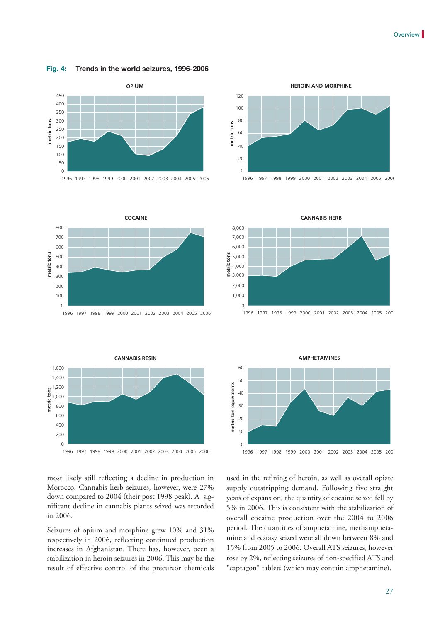**OPIUM** 450 400 350 300 metric tons **metric tons** 250 200 150 100 50  $\Omega$ 1996 1997 1998 1999 2000 2001 2002 2003 2004 2005 2006

**Fig. 4: Trends in the world seizures, 1996-2006**







1996 1997 1998 1999 2000 2001 2002 2003 2004 2005 2006

**CANNABIS HERB**

1,000 2,000 3,000 4,000 5,000 6,000 7,000 8,000

 $\overline{0}$ 

**metric tons**

metric<sub>1</sub>

tons

1996 1997 1998 1999 2000 2001 2002 2003 2004 2005 2006



#### 1996 1997 1998 1999 2000 2001 2002 2003 2004 2005 2006

most likely still reflecting a decline in production in Morocco. Cannabis herb seizures, however, were 27% down compared to 2004 (their post 1998 peak). A significant decline in cannabis plants seized was recorded in 2006.

Seizures of opium and morphine grew 10% and 31% respectively in 2006, reflecting continued production increases in Afghanistan. There has, however, been a stabilization in heroin seizures in 2006. This may be the result of effective control of the precursor chemicals

used in the refining of heroin, as well as overall opiate supply outstripping demand. Following five straight years of expansion, the quantity of cocaine seized fell by 5% in 2006. This is consistent with the stabilization of overall cocaine production over the 2004 to 2006 period. The quantities of amphetamine, methamphetamine and ecstasy seized were all down between 8% and 15% from 2005 to 2006. Overall ATS seizures, however rose by 2%, reflecting seizures of non-specified ATS and "captagon" tablets (which may contain amphetamine).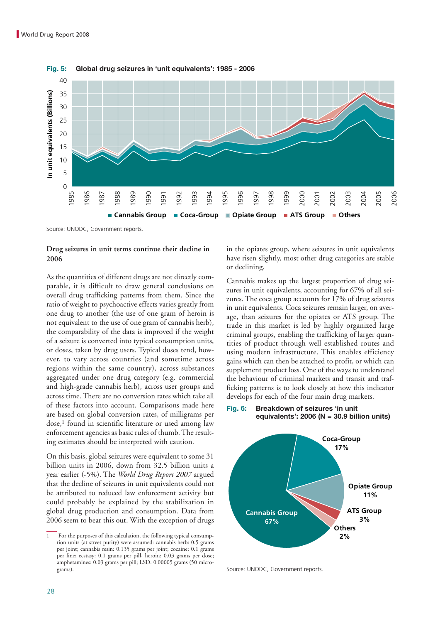

#### **Fig. 5: Global drug seizures in 'unit equivalents': 1985 - 2006**

Source: UNODC, Government reports.

# **Drug seizures in unit terms continue their decline in 2006**

As the quantities of different drugs are not directly comparable, it is difficult to draw general conclusions on overall drug trafficking patterns from them. Since the ratio of weight to psychoactive effects varies greatly from one drug to another (the use of one gram of heroin is not equivalent to the use of one gram of cannabis herb), the comparability of the data is improved if the weight of a seizure is converted into typical consumption units, or doses, taken by drug users. Typical doses tend, however, to vary across countries (and sometime across regions within the same country), across substances aggregated under one drug category (e.g. commercial and high-grade cannabis herb), across user groups and across time. There are no conversion rates which take all of these factors into account. Comparisons made here are based on global conversion rates, of milligrams per dose,<sup>1</sup> found in scientific literature or used among law enforcement agencies as basic rules of thumb. The resulting estimates should be interpreted with caution.

On this basis, global seizures were equivalent to some 31 billion units in 2006, down from 32.5 billion units a year earlier (-5%). The *World Drug Report 2007* argued that the decline of seizures in unit equivalents could not be attributed to reduced law enforcement activity but could probably be explained by the stabilization in global drug production and consumption. Data from 2006 seem to bear this out. With the exception of drugs

in the opiates group, where seizures in unit equivalents have risen slightly, most other drug categories are stable or declining.

Cannabis makes up the largest proportion of drug seizures in unit equivalents, accounting for 67% of all seizures. The coca group accounts for 17% of drug seizures in unit equivalents. Coca seizures remain larger, on average, than seizures for the opiates or ATS group. The trade in this market is led by highly organized large criminal groups, enabling the trafficking of larger quantities of product through well established routes and using modern infrastructure. This enables efficiency gains which can then be attached to profit, or which can supplement product loss. One of the ways to understand the behaviour of criminal markets and transit and trafficking patterns is to look closely at how this indicator develops for each of the four main drug markets.





Source: UNODC, Government reports.

<sup>1</sup> For the purposes of this calculation, the following typical consumption units (at street purity) were assumed: cannabis herb: 0.5 grams per joint; cannabis resin: 0.135 grams per joint; cocaine: 0.1 grams per line; ecstasy: 0.1 grams per pill, heroin: 0.03 grams per dose; amphetamines: 0.03 grams per pill; LSD: 0.00005 grams (50 micrograms).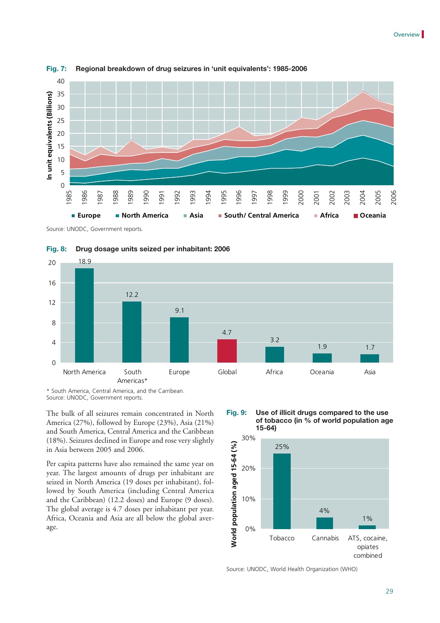



Source: UNODC, Government reports.



# **Fig. 8: Drug dosage units seized per inhabitant: 2006**

\* South America, Central America, and the Carribean. Source: UNODC, Government reports.

The bulk of all seizures remain concentrated in North America (27%), followed by Europe (23%), Asia (21%) and South America, Central America and the Caribbean (18%). Seizures declined in Europe and rose very slightly in Asia between 2005 and 2006.

Per capita patterns have also remained the same year on year. The largest amounts of drugs per inhabitant are seized in North America (19 doses per inhabitant), followed by South America (including Central America and the Caribbean) (12.2 doses) and Europe (9 doses). The global average is 4.7 doses per inhabitant per year. Africa, Oceania and Asia are all below the global average.





Source: UNODC, World Health Organization (WHO)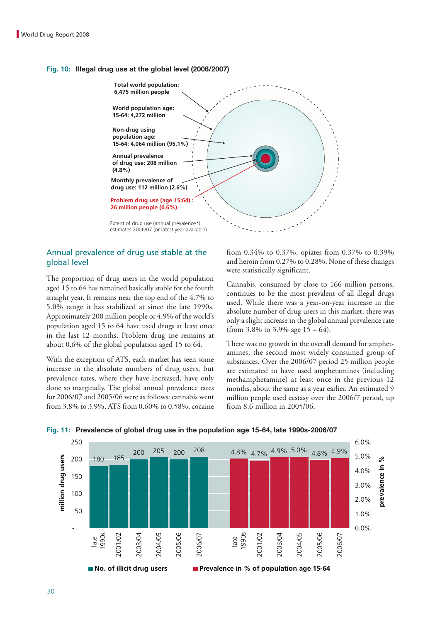#### **Fig. 10: Illegal drug use at the global level (2006/2007)**



# Annual prevalence of drug use stable at the global level

The proportion of drug users in the world population aged 15 to 64 has remained basically stable for the fourth straight year. It remains near the top end of the 4.7% to 5.0% range it has stabilized at since the late 1990s. Approximately 208 million people or 4.9% of the world's population aged 15 to 64 have used drugs at least once in the last 12 months. Problem drug use remains at about 0.6% of the global population aged 15 to 64.

With the exception of ATS, each market has seen some increase in the absolute numbers of drug users, but prevalence rates, where they have increased, have only done so marginally. The global annual prevalence rates for 2006/07 and 2005/06 were as follows: cannabis went from 3.8% to 3.9%, ATS from 0.60% to 0.58%, cocaine

from 0.34% to 0.37%, opiates from 0.37% to 0.39% and heroin from 0.27% to 0.28%. None of these changes were statistically significant.

Cannabis, consumed by close to 166 million persons, continues to be the most prevalent of all illegal drugs used. While there was a year-on-year increase in the absolute number of drug users in this market, there was only a slight increase in the global annual prevalence rate (from 3.8% to 3.9% age  $15 - 64$ ).

There was no growth in the overall demand for amphetamines, the second most widely consumed group of substances. Over the 2006/07 period 25 million people are estimated to have used amphetamines (including methamphetamine) at least once in the previous 12 months, about the same as a year earlier. An estimated 9 million people used ecstasy over the 2006/7 period, up from 8.6 million in 2005/06.



#### **Fig. 11: Prevalence of global drug use in the population age 15-64, late 1990s-2006/07**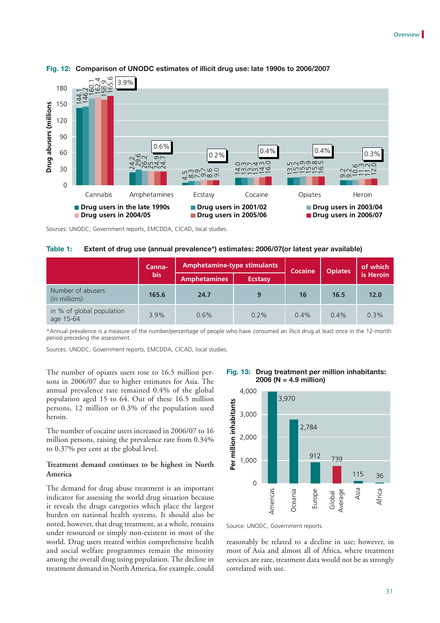

### **Fig. 12: Comparison of UNODC estimates of illicit drug use: late 1990s to 2006/2007**

Sources: UNODC, Government reports, EMCDDA, CICAD, local studies.

| Table 1: |  |  |  | Extent of drug use (annual prevalence*) estimates: 2006/07 (or latest year available) |  |  |
|----------|--|--|--|---------------------------------------------------------------------------------------|--|--|
|----------|--|--|--|---------------------------------------------------------------------------------------|--|--|

|                                        | Canna-     | <b>Amphetamine-type stimulants</b> |                | <b>Cocaine</b> | <b>Opiates</b> | of which  |
|----------------------------------------|------------|------------------------------------|----------------|----------------|----------------|-----------|
|                                        | <b>bis</b> | <b>Amphetamines</b>                | <b>Ecstasy</b> |                |                | is Heroin |
| Number of abusers<br>(in millions)     | 165.6      | 24.7                               | 9              | 16             | 16.5           | 12.0      |
| in % of global population<br>age 15-64 | 3.9%       | 0.6%                               | 0.2%           | 0.4%           | 0.4%           | 0.3%      |

\*Annual prevalence is a measure of the number/percentage of people who have consumed an illicit drug at least once in the 12-month period preceding the assessment.

Sources: UNODC, Government reports, EMCDDA, CICAD, local studies.

The number of opiates users rose to 16.5 million persons in 2006/07 due to higher estimates for Asia. The annual prevalence rate remained 0.4% of the global population aged 15 to 64. Out of these 16.5 million persons, 12 million or 0.3% of the population used heroin.

The number of cocaine users increased in 2006/07 to 16 million persons, raising the prevalence rate from 0.34% to 0.37% per cent at the global level.

# **Treatment demand continues to be highest in North America**

The demand for drug abuse treatment is an important indicator for assessing the world drug situation because it reveals the drugs categories which place the largest burden on national health systems. It should also be noted, however, that drug treatment, as a whole, remains under resourced or simply non-existent in most of the world. Drug users treated within comprehensive health and social welfare programmes remain the minority among the overall drug using population. The decline in treatment demand in North America, for example, could

**Fig. 13: Drug treatment per million inhabitants: 2006 (N = 4.9 million)**



Source: UNODC, Government reports.

reasonably be related to a decline in use; however, in most of Asia and almost all of Africa, where treatment services are rare, treatment data would not be as strongly correlated with use.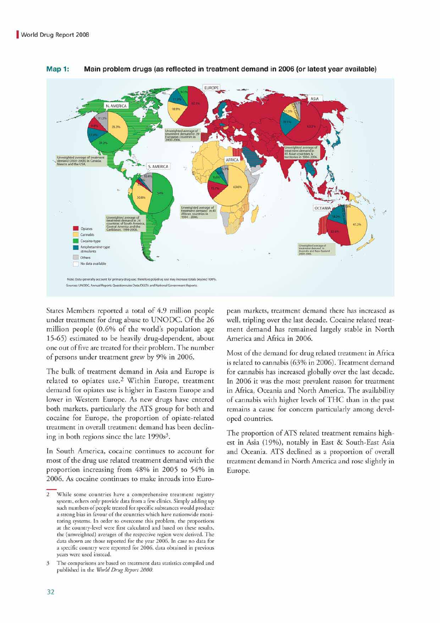

Main problem drugs (as reflected in treatment demand in 2006 (or latest year available) Map 1:

States Members reported a total of 4.9 million people under treatment for drug abuse to UNODC. Of the 26 million people (0.6% of the world's population age 15-65) estimated to be heavily drug-dependent, about one out of five are treated for their problem. The number of persons under treatment grew by 9% in 2006.

The bulk of treatment demand in Asia and Europe is related to opiates use.<sup>2</sup> Within Europe, treatment demand for opiates use is higher in Eastern Europe and lower in Western Europe. As new drugs have entered both markets, particularly the ATS group for both and cocaine for Europe, the proportion of opiate-related treatment in overall treatment demand has been declining in both regions since the late 1990s<sup>3</sup>.

In South America, cocaine continues to account for most of the drug use related treatment demand with the proportion increasing from 48% in 2005 to 54% in 2006. As cocaine continues to make inroads into European markets, treatment demand there has increased as well, tripling over the last decade. Cocaine related treatment demand has remained largely stable in North America and Africa in 2006.

Most of the demand for drug related treatment in Africa is related to cannabis (63% in 2006). Treatment demand for cannabis has increased globally over the last decade. In 2006 it was the most prevalent reason for treatment in Africa, Oceania and North America. The availability of cannabis with higher levels of THC than in the past remains a cause for concern particularly among developed countries.

The proportion of ATS related treatment remains highest in Asia (19%), notably in East & South-East Asia and Oceania. ATS declined as a proportion of overall treatment demand in North America and rose slightly in Europe.

While some countries have a comprehensive treatment registry system, others only provide data from a few clinics. Simply adding up such numbers of people treated for specific substances would produce a strong bias in favour of the countries which have nationwide monitoring systems. In order to overcome this problem, the proportions at the country-level were first calculated and based on these results, the (unweighted) averages of the respective region were derived. The data shown are those reported for the year 2006. In case no data for a specific country were reported for 2006, data obtained in previous vears were used instead.

The comparisons are based on treatment data statistics compiled and  $\overline{3}$ published in the World Drug Report 2000.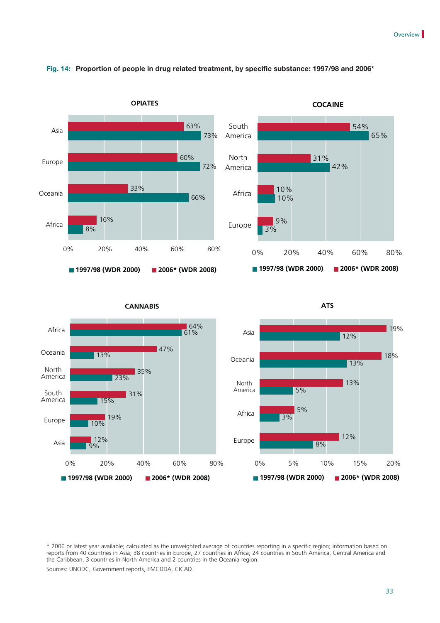

# Fig. 14: Proportion of people in drug related treatment, by specific substance: 1997/98 and 2006<sup>\*</sup>



\* 2006 or latest year available; calculated as the unweighted average of countries reporting in a specific region; information based on reports from 40 countries in Asia; 38 countries in Europe, 27 countries in Africa; 24 countries in South America, Central America and the Caribbean, 3 countries in North America and 2 countries in the Oceania region. Sources: UNODC, Government reports, EMCDDA, CICAD.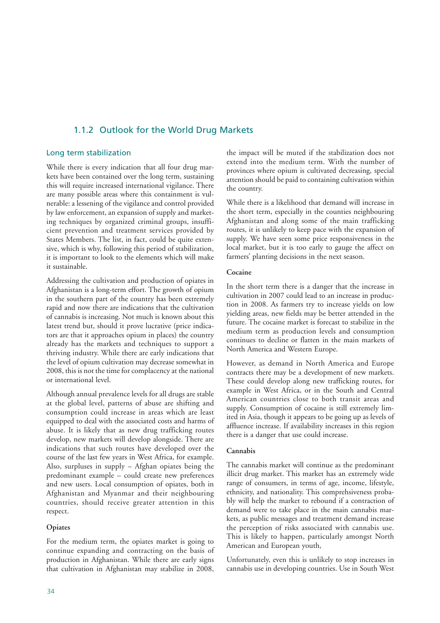# 1.1.2 Outlook for the World Drug Markets

# Long term stabilization

While there is every indication that all four drug markets have been contained over the long term, sustaining this will require increased international vigilance. There are many possible areas where this containment is vulnerable: a lessening of the vigilance and control provided by law enforcement, an expansion of supply and marketing techniques by organized criminal groups, insufficient prevention and treatment services provided by States Members. The list, in fact, could be quite extensive, which is why, following this period of stabilization, it is important to look to the elements which will make it sustainable.

Addressing the cultivation and production of opiates in Afghanistan is a long-term effort. The growth of opium in the southern part of the country has been extremely rapid and now there are indications that the cultivation of cannabis is increasing. Not much is known about this latest trend but, should it prove lucrative (price indicators are that it approaches opium in places) the country already has the markets and techniques to support a thriving industry. While there are early indications that the level of opium cultivation may decrease somewhat in 2008, this is not the time for complacency at the national or international level.

Although annual prevalence levels for all drugs are stable at the global level, patterns of abuse are shifting and consumption could increase in areas which are least equipped to deal with the associated costs and harms of abuse. It is likely that as new drug trafficking routes develop, new markets will develop alongside. There are indications that such routes have developed over the course of the last few years in West Africa, for example. Also, surpluses in supply – Afghan opiates being the predominant example – could create new preferences and new users. Local consumption of opiates, both in Afghanistan and Myanmar and their neighbouring countries, should receive greater attention in this respect.

# **Opiates**

For the medium term, the opiates market is going to continue expanding and contracting on the basis of production in Afghanistan. While there are early signs that cultivation in Afghanistan may stabilize in 2008,

the impact will be muted if the stabilization does not extend into the medium term. With the number of provinces where opium is cultivated decreasing, special attention should be paid to containing cultivation within the country.

While there is a likelihood that demand will increase in the short term, especially in the counties neighbouring Afghanistan and along some of the main trafficking routes, it is unlikely to keep pace with the expansion of supply. We have seen some price responsiveness in the local market, but it is too early to gauge the affect on farmers' planting decisions in the next season.

# **Cocaine**

In the short term there is a danger that the increase in cultivation in 2007 could lead to an increase in production in 2008. As farmers try to increase yields on low yielding areas, new fields may be better attended in the future. The cocaine market is forecast to stabilize in the medium term as production levels and consumption continues to decline or flatten in the main markets of North America and Western Europe.

However, as demand in North America and Europe contracts there may be a development of new markets. These could develop along new trafficking routes, for example in West Africa, or in the South and Central American countries close to both transit areas and supply. Consumption of cocaine is still extremely limited in Asia, though it appears to be going up as levels of affluence increase. If availability increases in this region there is a danger that use could increase.

# **Cannabis**

The cannabis market will continue as the predominant illicit drug market. This market has an extremely wide range of consumers, in terms of age, income, lifestyle, ethnicity, and nationality. This comprehsiveness probably will help the market to rebound if a contraction of demand were to take place in the main cannabis markets, as public messages and treatment demand increase the perception of risks associated with cannabis use. This is likely to happen, particularly amongst North American and European youth,

Unfortunately, even this is unlikely to stop increases in cannabis use in developing countries. Use in South West